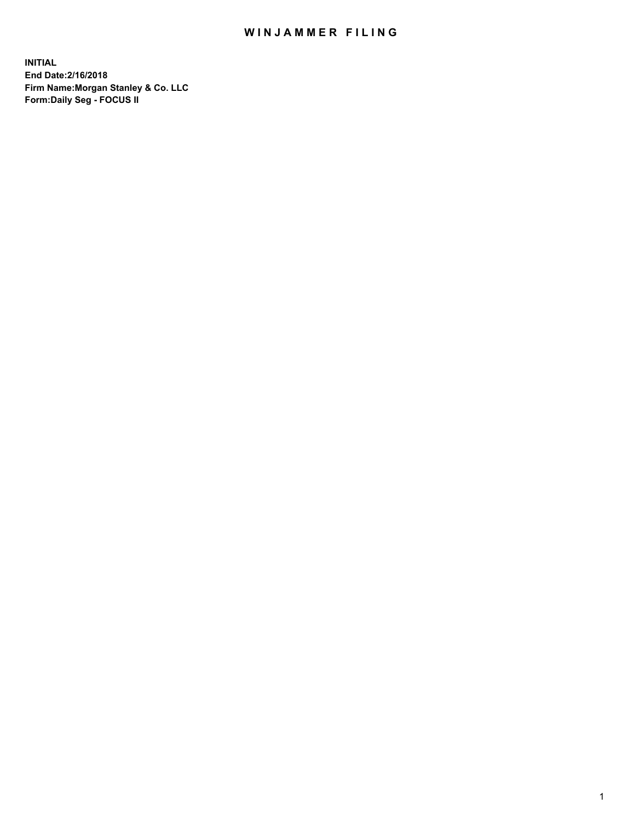### WIN JAMMER FILING

**INITIAL End Date:2/16/2018 Firm Name:Morgan Stanley & Co. LLC Form:Daily Seg - FOCUS II**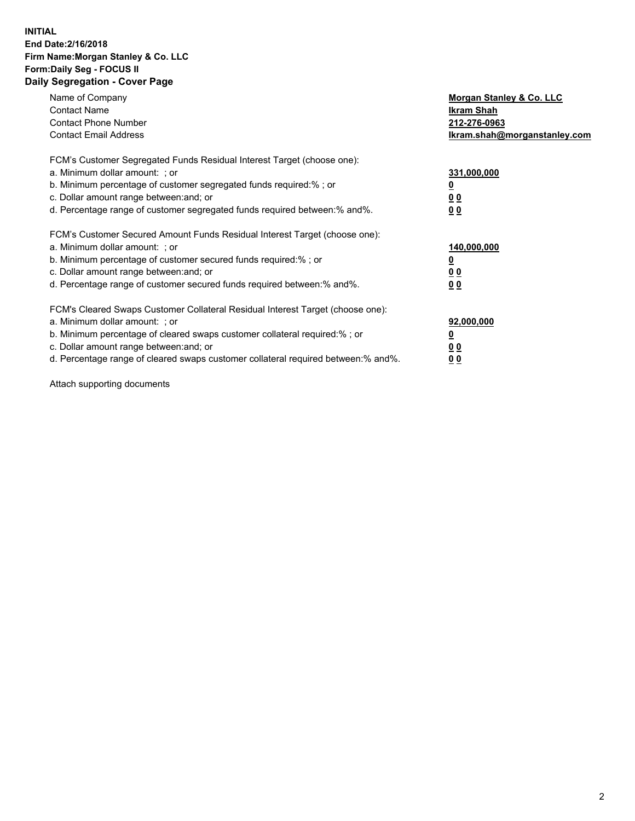#### **INITIAL End Date:2/16/2018 Firm Name:Morgan Stanley & Co. LLC Form:Daily Seg - FOCUS II Daily Segregation - Cover Page**

| Name of Company                                                                   | Morgan Stanley & Co. LLC     |
|-----------------------------------------------------------------------------------|------------------------------|
| <b>Contact Name</b>                                                               | Ikram Shah                   |
| <b>Contact Phone Number</b>                                                       | 212-276-0963                 |
| <b>Contact Email Address</b>                                                      | lkram.shah@morganstanley.com |
| FCM's Customer Segregated Funds Residual Interest Target (choose one):            |                              |
| a. Minimum dollar amount: ; or                                                    | 331,000,000                  |
| b. Minimum percentage of customer segregated funds required:%; or                 |                              |
| c. Dollar amount range between: and; or                                           | 00                           |
| d. Percentage range of customer segregated funds required between: % and %.       | 0 <sub>0</sub>               |
|                                                                                   |                              |
| FCM's Customer Secured Amount Funds Residual Interest Target (choose one):        |                              |
| a. Minimum dollar amount: ; or                                                    | 140,000,000                  |
| b. Minimum percentage of customer secured funds required:%; or                    |                              |
| c. Dollar amount range between: and; or                                           | 00                           |
| d. Percentage range of customer secured funds required between: % and %.          | 0 <sub>0</sub>               |
|                                                                                   |                              |
| FCM's Cleared Swaps Customer Collateral Residual Interest Target (choose one):    |                              |
| a. Minimum dollar amount: ; or                                                    | 92,000,000                   |
| b. Minimum percentage of cleared swaps customer collateral required:% ; or        | <u>0</u>                     |
| c. Dollar amount range between: and; or                                           | <u>00</u>                    |
| d. Percentage range of cleared swaps customer collateral required between:% and%. | 00                           |

Attach supporting documents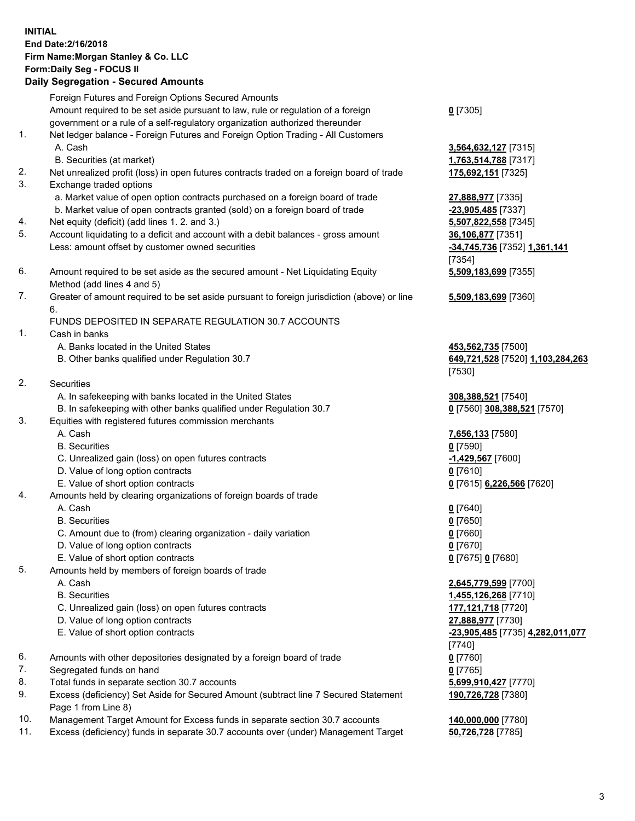## **INITIAL End Date:2/16/2018 Firm Name:Morgan Stanley & Co. LLC Form:Daily Seg - FOCUS II**

## **Daily Segregation - Secured Amounts**

|          | Pany Obgrogation Obbarba / 11110ani                                                                                          |                                           |
|----------|------------------------------------------------------------------------------------------------------------------------------|-------------------------------------------|
|          | Foreign Futures and Foreign Options Secured Amounts                                                                          |                                           |
|          | Amount required to be set aside pursuant to law, rule or regulation of a foreign                                             | $0$ [7305]                                |
|          | government or a rule of a self-regulatory organization authorized thereunder                                                 |                                           |
| 1.       | Net ledger balance - Foreign Futures and Foreign Option Trading - All Customers                                              |                                           |
|          | A. Cash                                                                                                                      | 3,564,632,127 [7315]                      |
|          | B. Securities (at market)                                                                                                    | 1,763,514,788 [7317]                      |
| 2.<br>3. | Net unrealized profit (loss) in open futures contracts traded on a foreign board of trade                                    | 175,692,151 [7325]                        |
|          | Exchange traded options                                                                                                      |                                           |
|          | a. Market value of open option contracts purchased on a foreign board of trade                                               | 27,888,977 [7335]                         |
| 4.       | b. Market value of open contracts granted (sold) on a foreign board of trade<br>Net equity (deficit) (add lines 1.2. and 3.) | -23,905,485 [7337]                        |
| 5.       | Account liquidating to a deficit and account with a debit balances - gross amount                                            | 5,507,822,558 [7345]<br>36,106,877 [7351] |
|          | Less: amount offset by customer owned securities                                                                             | -34,745,736 [7352] 1,361,141              |
|          |                                                                                                                              | [7354]                                    |
| 6.       | Amount required to be set aside as the secured amount - Net Liquidating Equity                                               | 5,509,183,699 [7355]                      |
|          | Method (add lines 4 and 5)                                                                                                   |                                           |
| 7.       | Greater of amount required to be set aside pursuant to foreign jurisdiction (above) or line                                  | 5,509,183,699 [7360]                      |
|          | 6.                                                                                                                           |                                           |
|          | FUNDS DEPOSITED IN SEPARATE REGULATION 30.7 ACCOUNTS                                                                         |                                           |
| 1.       | Cash in banks                                                                                                                |                                           |
|          | A. Banks located in the United States                                                                                        | 453,562,735 [7500]                        |
|          | B. Other banks qualified under Regulation 30.7                                                                               | 649,721,528 [7520] 1,103,284,263          |
|          |                                                                                                                              | [7530]                                    |
| 2.       | Securities                                                                                                                   |                                           |
|          | A. In safekeeping with banks located in the United States                                                                    | 308,388,521 [7540]                        |
|          | B. In safekeeping with other banks qualified under Regulation 30.7                                                           | 0 [7560] 308,388,521 [7570]               |
| 3.       | Equities with registered futures commission merchants                                                                        |                                           |
|          | A. Cash                                                                                                                      | 7,656,133 [7580]                          |
|          | <b>B.</b> Securities                                                                                                         | $0$ [7590]                                |
|          | C. Unrealized gain (loss) on open futures contracts                                                                          | $-1,429,567$ [7600]                       |
|          | D. Value of long option contracts                                                                                            | $0$ [7610]                                |
|          | E. Value of short option contracts                                                                                           | 0 [7615] 6,226,566 [7620]                 |
| 4.       | Amounts held by clearing organizations of foreign boards of trade                                                            |                                           |
|          | A. Cash                                                                                                                      | $0$ [7640]                                |
|          | <b>B.</b> Securities                                                                                                         | $0$ [7650]                                |
|          | C. Amount due to (from) clearing organization - daily variation                                                              | $0$ [7660]                                |
|          | D. Value of long option contracts                                                                                            | $0$ [7670]                                |
|          | E. Value of short option contracts                                                                                           | 0 [7675] 0 [7680]                         |
| 5.       | Amounts held by members of foreign boards of trade                                                                           |                                           |
|          | A. Cash                                                                                                                      | 2,645,779,599 [7700]                      |
|          | <b>B.</b> Securities                                                                                                         | 1,455,126,268 [7710]                      |
|          | C. Unrealized gain (loss) on open futures contracts                                                                          | 177, 121, 718 [7720]                      |
|          | D. Value of long option contracts                                                                                            | 27,888,977 [7730]                         |
|          | E. Value of short option contracts                                                                                           | -23,905,485 [7735] 4,282,011,077          |
|          |                                                                                                                              | [7740]                                    |
| 6.       | Amounts with other depositories designated by a foreign board of trade                                                       | $0$ [7760]                                |
| 7.       | Segregated funds on hand                                                                                                     | $0$ [7765]                                |
| 8.       | Total funds in separate section 30.7 accounts                                                                                | 5,699,910,427 [7770]                      |
| 9.       | Excess (deficiency) Set Aside for Secured Amount (subtract line 7 Secured Statement<br>Page 1 from Line 8)                   | 190,726,728 [7380]                        |
| 10.      | Management Target Amount for Excess funds in separate section 30.7 accounts                                                  | 140,000,000 [7780]                        |
| 11.      | Excess (deficiency) funds in separate 30.7 accounts over (under) Management Target                                           | 50,726,728 [7785]                         |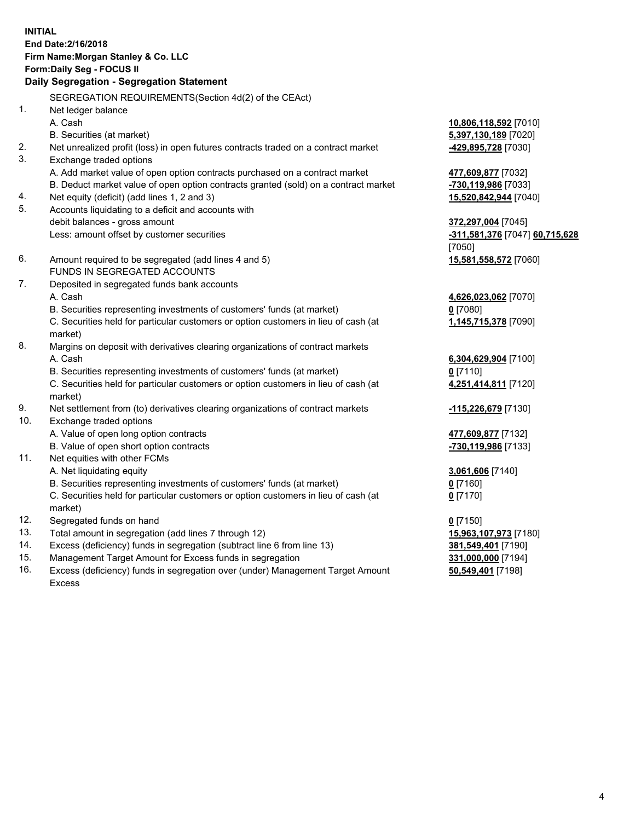## **INITIAL End Date:2/16/2018 Firm Name:Morgan Stanley & Co. LLC Form:Daily Seg - FOCUS II**

# **Daily Segregation - Segregation Statement**

SEGREGATION REQUIREMENTS(Section 4d(2) of the CEAct) 1. Net ledger balance A. Cash **10,806,118,592** [7010] B. Securities (at market) **5,397,130,189** [7020] 2. Net unrealized profit (loss) in open futures contracts traded on a contract market **-429,895,728** [7030] 3. Exchange traded options A. Add market value of open option contracts purchased on a contract market **477,609,877** [7032] B. Deduct market value of open option contracts granted (sold) on a contract market **-730,119,986** [7033] 4. Net equity (deficit) (add lines 1, 2 and 3) **15,520,842,944** [7040] 5. Accounts liquidating to a deficit and accounts with debit balances - gross amount **372,297,004** [7045] Less: amount offset by customer securities **-311,581,376** [7047] **60,715,628** [7050] 6. Amount required to be segregated (add lines 4 and 5) **15,581,558,572** [7060] FUNDS IN SEGREGATED ACCOUNTS 7. Deposited in segregated funds bank accounts A. Cash **4,626,023,062** [7070] B. Securities representing investments of customers' funds (at market) **0** [7080] C. Securities held for particular customers or option customers in lieu of cash (at market) **1,145,715,378** [7090] 8. Margins on deposit with derivatives clearing organizations of contract markets A. Cash **6,304,629,904** [7100] B. Securities representing investments of customers' funds (at market) **0** [7110] C. Securities held for particular customers or option customers in lieu of cash (at market) **4,251,414,811** [7120] 9. Net settlement from (to) derivatives clearing organizations of contract markets **-115,226,679** [7130] 10. Exchange traded options A. Value of open long option contracts **477,609,877** [7132] B. Value of open short option contracts **-730,119,986** [7133] 11. Net equities with other FCMs A. Net liquidating equity **3,061,606** [7140] B. Securities representing investments of customers' funds (at market) **0** [7160] C. Securities held for particular customers or option customers in lieu of cash (at market) **0** [7170] 12. Segregated funds on hand **0** [7150] 13. Total amount in segregation (add lines 7 through 12) **15,963,107,973** [7180] 14. Excess (deficiency) funds in segregation (subtract line 6 from line 13) **381,549,401** [7190] 15. Management Target Amount for Excess funds in segregation **331,000,000** [7194]

16. Excess (deficiency) funds in segregation over (under) Management Target Amount Excess

**50,549,401** [7198]